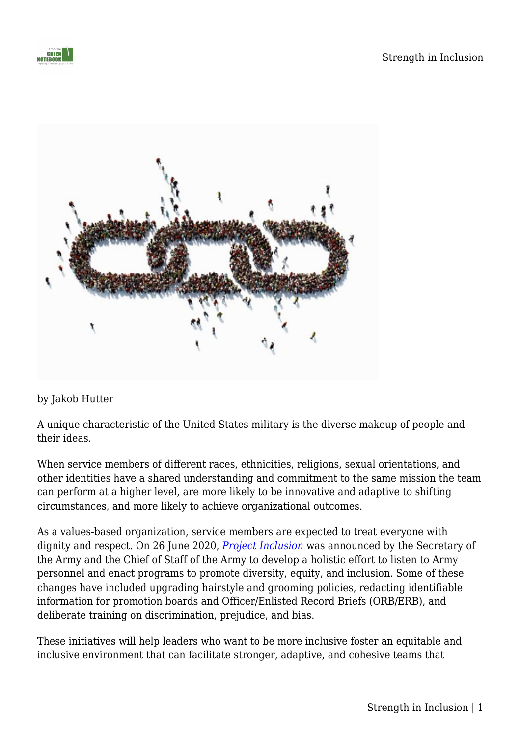



## by Jakob Hutter

A unique characteristic of the United States military is the diverse makeup of people and their ideas.

When service members of different races, ethnicities, religions, sexual orientations, and other identities have a shared understanding and commitment to the same mission the team can perform at a higher level, are more likely to be innovative and adaptive to shifting circumstances, and more likely to achieve organizational outcomes.

As a values-based organization, service members are expected to treat everyone with dignity and respect. On 26 June 2020, *[Project Inclusion](https://www.army.mil/e2/downloads/rv7/the_army_people_strategy_diversity_equity_and_inclusion_annex_2020_09_01_signed_final.pdf)* was announced by the Secretary of the Army and the Chief of Staff of the Army to develop a holistic effort to listen to Army personnel and enact programs to promote diversity, equity, and inclusion. Some of these changes have included upgrading hairstyle and grooming policies, redacting identifiable information for promotion boards and Officer/Enlisted Record Briefs (ORB/ERB), and deliberate training on discrimination, prejudice, and bias.

These initiatives will help leaders who want to be more inclusive foster an equitable and inclusive environment that can facilitate stronger, adaptive, and cohesive teams that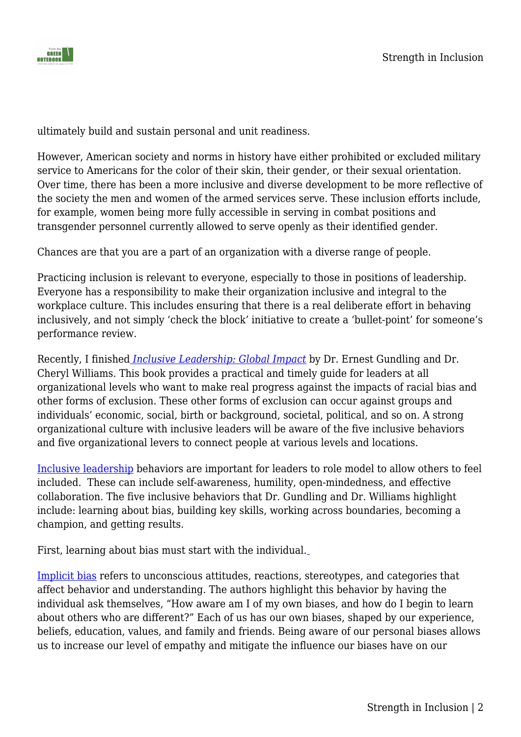

ultimately build and sustain personal and unit readiness.

However, American society and norms in history have either prohibited or excluded military service to Americans for the color of their skin, their gender, or their sexual orientation. Over time, there has been a more inclusive and diverse development to be more reflective of the society the men and women of the armed services serve. These inclusion efforts include, for example, women being more fully accessible in serving in combat positions and transgender personnel currently allowed to serve openly as their identified gender.

Chances are that you are a part of an organization with a diverse range of people.

Practicing inclusion is relevant to everyone, especially to those in positions of leadership. Everyone has a responsibility to make their organization inclusive and integral to the workplace culture. This includes ensuring that there is a real deliberate effort in behaving inclusively, and not simply 'check the block' initiative to create a 'bullet-point' for someone's performance review.

Recently, I finished *[Inclusive Leadership: Global Impact](https://www.amazon.com/Inclusive-Leadership-Global-Impact-Gundling/dp/0578913283/ref=sr_1_1_sspa?keywords=inclusive+leadership&qid=1650068043&s=books&sprefix=%2Cstripbooks%2C113&sr=1-1-spons&psc=1&spLa=ZW5jcnlwdGVkUXVhbGlmaWVyPUExTUgyOE9PR0tWNFFTJmVuY3J5cHRlZElkPUEwNzM2Mzc5MjRPRkE0VEdHQzNXQSZlbmNyeXB0ZWRBZElkPUExMDA3NDA4M1BCQ1lKSkI3Vkk2TCZ3aWRnZXROYW1lPXNwX2F0ZiZhY3Rpb249Y2xpY2tSZWRpcmVjdCZkb05vdExvZ0NsaWNrPXRydWU=)* by Dr. Ernest Gundling and Dr. Cheryl Williams. This book provides a practical and timely guide for leaders at all organizational levels who want to make real progress against the impacts of racial bias and other forms of exclusion. These other forms of exclusion can occur against groups and individuals' economic, social, birth or background, societal, political, and so on. A strong organizational culture with inclusive leaders will be aware of the five inclusive behaviors and five organizational levers to connect people at various levels and locations.

[Inclusive leadership](https://hbr.org/2020/03/the-key-to-inclusive-leadership) behaviors are important for leaders to role model to allow others to feel included. These can include self-awareness, humility, open-mindedness, and effective collaboration. The five inclusive behaviors that Dr. Gundling and Dr. Williams highlight include: learning about bias, building key skills, working across boundaries, becoming a champion, and getting results.

First, learning about bias must start with the individual.

[Implicit bias](https://www.simplypsychology.org/implicit-bias.html) refers to unconscious attitudes, reactions, stereotypes, and categories that affect behavior and understanding. The authors highlight this behavior by having the individual ask themselves, "How aware am I of my own biases, and how do I begin to learn about others who are different?" Each of us has our own biases, shaped by our experience, beliefs, education, values, and family and friends. Being aware of our personal biases allows us to increase our level of empathy and mitigate the influence our biases have on our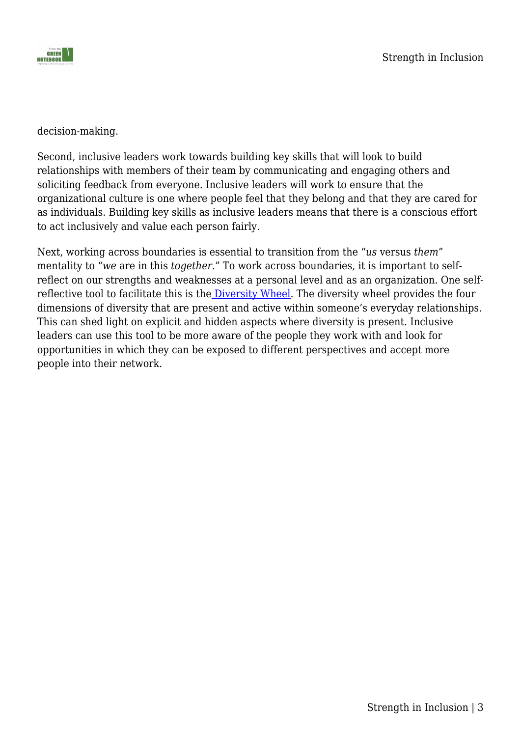

decision-making.

Second, inclusive leaders work towards building key skills that will look to build relationships with members of their team by communicating and engaging others and soliciting feedback from everyone. Inclusive leaders will work to ensure that the organizational culture is one where people feel that they belong and that they are cared for as individuals. Building key skills as inclusive leaders means that there is a conscious effort to act inclusively and value each person fairly.

Next, working across boundaries is essential to transition from the "*us* versus *them*" mentality to "*we* are in this *together*." To work across boundaries, it is important to selfreflect on our strengths and weaknesses at a personal level and as an organization. One selfreflective tool to facilitate this is the [Diversity Wheel](https://www.lacrosseconsortium.org/uploads/content_files/files/Dimensions_of_Diversity_Wheel_Expanded.pdf). The diversity wheel provides the four dimensions of diversity that are present and active within someone's everyday relationships. This can shed light on explicit and hidden aspects where diversity is present. Inclusive leaders can use this tool to be more aware of the people they work with and look for opportunities in which they can be exposed to different perspectives and accept more people into their network.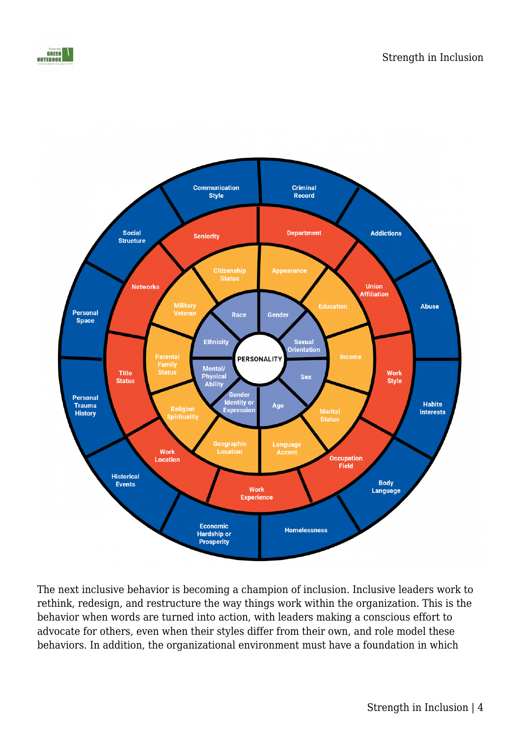



The next inclusive behavior is becoming a champion of inclusion. Inclusive leaders work to rethink, redesign, and restructure the way things work within the organization. This is the behavior when words are turned into action, with leaders making a conscious effort to advocate for others, even when their styles differ from their own, and role model these behaviors. In addition, the organizational environment must have a foundation in which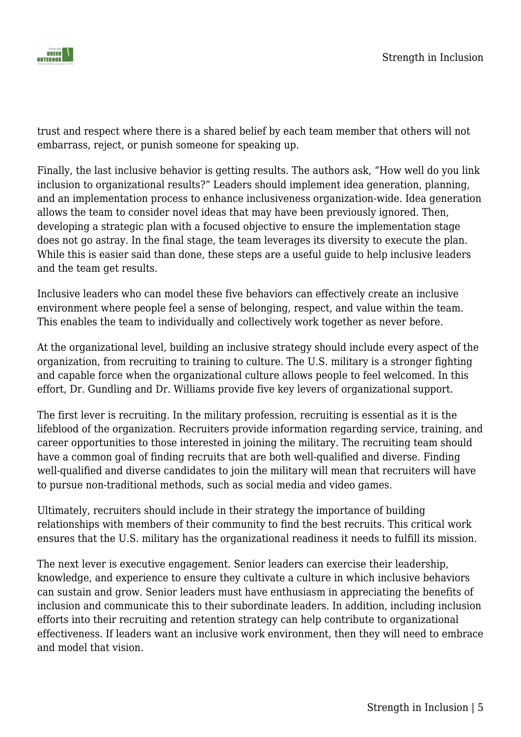

trust and respect where there is a shared belief by each team member that others will not embarrass, reject, or punish someone for speaking up.

Finally, the last inclusive behavior is getting results. The authors ask, "How well do you link inclusion to organizational results?" Leaders should implement idea generation, planning, and an implementation process to enhance inclusiveness organization-wide. Idea generation allows the team to consider novel ideas that may have been previously ignored. Then, developing a strategic plan with a focused objective to ensure the implementation stage does not go astray. In the final stage, the team leverages its diversity to execute the plan. While this is easier said than done, these steps are a useful guide to help inclusive leaders and the team get results.

Inclusive leaders who can model these five behaviors can effectively create an inclusive environment where people feel a sense of belonging, respect, and value within the team. This enables the team to individually and collectively work together as never before.

At the organizational level, building an inclusive strategy should include every aspect of the organization, from recruiting to training to culture. The U.S. military is a stronger fighting and capable force when the organizational culture allows people to feel welcomed. In this effort, Dr. Gundling and Dr. Williams provide five key levers of organizational support.

The first lever is recruiting. In the military profession, recruiting is essential as it is the lifeblood of the organization. Recruiters provide information regarding service, training, and career opportunities to those interested in joining the military. The recruiting team should have a common goal of finding recruits that are both well-qualified and diverse. Finding well-qualified and diverse candidates to join the military will mean that recruiters will have to pursue non-traditional methods, such as social media and video games.

Ultimately, recruiters should include in their strategy the importance of building relationships with members of their community to find the best recruits. This critical work ensures that the U.S. military has the organizational readiness it needs to fulfill its mission.

The next lever is executive engagement. Senior leaders can exercise their leadership, knowledge, and experience to ensure they cultivate a culture in which inclusive behaviors can sustain and grow. Senior leaders must have enthusiasm in appreciating the benefits of inclusion and communicate this to their subordinate leaders. In addition, including inclusion efforts into their recruiting and retention strategy can help contribute to organizational effectiveness. If leaders want an inclusive work environment, then they will need to embrace and model that vision.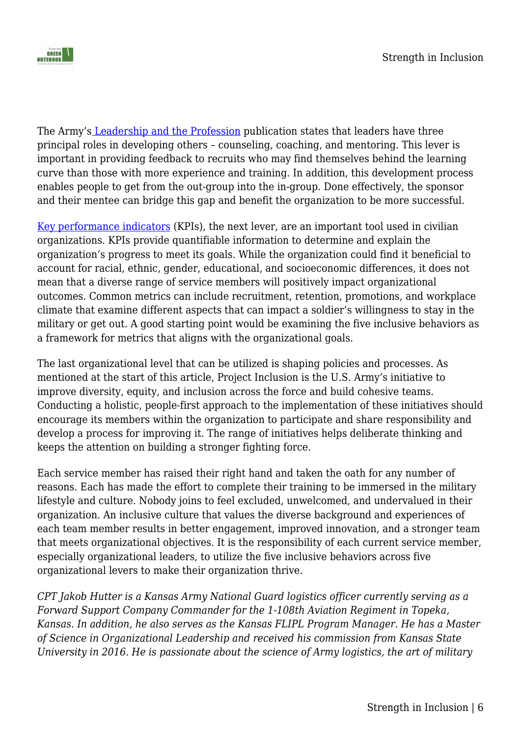

The Army's [Leadership and the Profession](https://armypubs.army.mil/epubs/DR_pubs/DR_a/ARN20039-ADP_6-22-001-WEB-0.pdf) publication states that leaders have three principal roles in developing others – counseling, coaching, and mentoring. This lever is important in providing feedback to recruits who may find themselves behind the learning curve than those with more experience and training. In addition, this development process enables people to get from the out-group into the in-group. Done effectively, the sponsor and their mentee can bridge this gap and benefit the organization to be more successful.

[Key performance indicators](https://kpi.org/KPI-Basics) (KPIs), the next lever, are an important tool used in civilian organizations. KPIs provide quantifiable information to determine and explain the organization's progress to meet its goals. While the organization could find it beneficial to account for racial, ethnic, gender, educational, and socioeconomic differences, it does not mean that a diverse range of service members will positively impact organizational outcomes. Common metrics can include recruitment, retention, promotions, and workplace climate that examine different aspects that can impact a soldier's willingness to stay in the military or get out. A good starting point would be examining the five inclusive behaviors as a framework for metrics that aligns with the organizational goals.

The last organizational level that can be utilized is shaping policies and processes. As mentioned at the start of this article, Project Inclusion is the U.S. Army's initiative to improve diversity, equity, and inclusion across the force and build cohesive teams. Conducting a holistic, people-first approach to the implementation of these initiatives should encourage its members within the organization to participate and share responsibility and develop a process for improving it. The range of initiatives helps deliberate thinking and keeps the attention on building a stronger fighting force.

Each service member has raised their right hand and taken the oath for any number of reasons. Each has made the effort to complete their training to be immersed in the military lifestyle and culture. Nobody joins to feel excluded, unwelcomed, and undervalued in their organization. An inclusive culture that values the diverse background and experiences of each team member results in better engagement, improved innovation, and a stronger team that meets organizational objectives. It is the responsibility of each current service member, especially organizational leaders, to utilize the five inclusive behaviors across five organizational levers to make their organization thrive.

*CPT Jakob Hutter is a Kansas Army National Guard logistics officer currently serving as a Forward Support Company Commander for the 1-108th Aviation Regiment in Topeka, Kansas. In addition, he also serves as the Kansas FLIPL Program Manager. He has a Master of Science in Organizational Leadership and received his commission from Kansas State University in 2016. He is passionate about the science of Army logistics, the art of military*